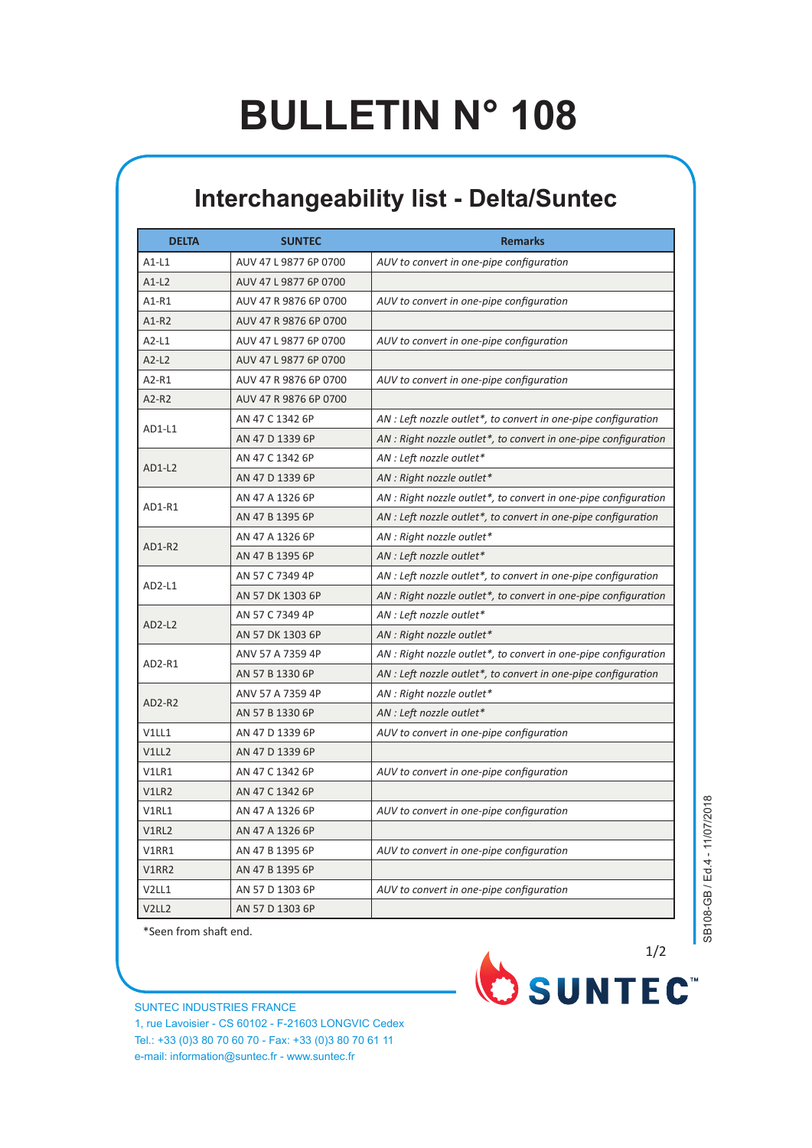## **BULLETIN N° 108**

## **Interchangeability list - Delta/Suntec**

| <b>DELTA</b>      | <b>SUNTEC</b>         | <b>Remarks</b>                                                  |
|-------------------|-----------------------|-----------------------------------------------------------------|
| $A1-L1$           | AUV 47 L 9877 6P 0700 | AUV to convert in one-pipe configuration                        |
| $A1-L2$           | AUV 47 L 9877 6P 0700 |                                                                 |
| A1-R1             | AUV 47 R 9876 6P 0700 | AUV to convert in one-pipe configuration                        |
| $A1-R2$           | AUV 47 R 9876 6P 0700 |                                                                 |
| $A2-L1$           | AUV 47 L 9877 6P 0700 | AUV to convert in one-pipe configuration                        |
| $A2-L2$           | AUV 47 L 9877 6P 0700 |                                                                 |
| A2-R1             | AUV 47 R 9876 6P 0700 | AUV to convert in one-pipe configuration                        |
| A2-R2             | AUV 47 R 9876 6P 0700 |                                                                 |
|                   | AN 47 C 1342 6P       | AN : Left nozzle outlet*, to convert in one-pipe configuration  |
| AD1-L1            | AN 47 D 1339 6P       | AN : Right nozzle outlet*, to convert in one-pipe configuration |
| $AD1-L2$          | AN 47 C 1342 6P       | AN : Left nozzle outlet*                                        |
|                   | AN 47 D 1339 6P       | AN : Right nozzle outlet*                                       |
| AD1-R1            | AN 47 A 1326 6P       | AN : Right nozzle outlet*, to convert in one-pipe configuration |
|                   | AN 47 B 1395 6P       | AN : Left nozzle outlet*, to convert in one-pipe configuration  |
|                   | AN 47 A 1326 6P       | AN : Right nozzle outlet*                                       |
| AD1-R2            | AN 47 B 1395 6P       | AN : Left nozzle outlet*                                        |
|                   | AN 57 C 7349 4P       | AN : Left nozzle outlet*, to convert in one-pipe configuration  |
| AD2-L1            | AN 57 DK 1303 6P      | AN : Right nozzle outlet*, to convert in one-pipe configuration |
|                   | AN 57 C 7349 4P       | AN : Left nozzle outlet*                                        |
| $AD2-L2$          | AN 57 DK 1303 6P      | AN : Right nozzle outlet*                                       |
|                   | ANV 57 A 7359 4P      | AN : Right nozzle outlet*, to convert in one-pipe configuration |
| AD2-R1            | AN 57 B 1330 6P       | AN : Left nozzle outlet*, to convert in one-pipe configuration  |
|                   | ANV 57 A 7359 4P      | AN : Right nozzle outlet*                                       |
| AD2-R2            | AN 57 B 1330 6P       | AN : Left nozzle outlet*                                        |
| V1LL1             | AN 47 D 1339 6P       | AUV to convert in one-pipe configuration                        |
| V1LL2             | AN 47 D 1339 6P       |                                                                 |
| V1LR1             | AN 47 C 1342 6P       | AUV to convert in one-pipe configuration                        |
| V1LR2             | AN 47 C 1342 6P       |                                                                 |
| V1RL1             | AN 47 A 1326 6P       | AUV to convert in one-pipe configuration                        |
| V1RL2             | AN 47 A 1326 6P       |                                                                 |
| V1RR1             | AN 47 B 1395 6P       | AUV to convert in one-pipe configuration                        |
| V1RR2             | AN 47 B 1395 6P       |                                                                 |
| V2LL1             | AN 57 D 1303 6P       | AUV to convert in one-pipe configuration                        |
| V <sub>2LL2</sub> | AN 57 D 1303 6P       |                                                                 |

\*Seen from shaft end.

SUNTEC INDUSTRIES FRANCE 1, rue Lavoisier - CS 60102 - F-21603 LONGVIC Cedex Tel.: +33 (0)3 80 70 60 70 - Fax: +33 (0)3 80 70 61 11 e-mail: information@suntec.fr - www.suntec.fr



SB108-GB / Ed.4 - 11/07/2018 SB108-GB / Ed.4 - 11/07/2018